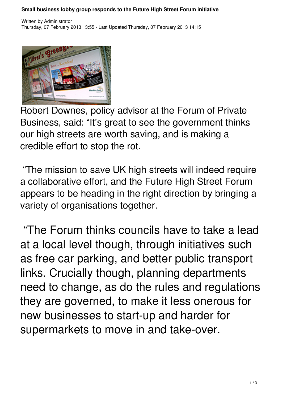## **Small business lobby group responds to the Future High Street Forum initiative**



Robert Downes, policy advisor at the Forum of Private Business, said: "It's great to see the government thinks our high streets are worth saving, and is making a credible effort to stop the rot.

 "The mission to save UK high streets will indeed require a collaborative effort, and the Future High Street Forum appears to be heading in the right direction by bringing a variety of organisations together.

 "The Forum thinks councils have to take a lead at a local level though, through initiatives such as free car parking, and better public transport links. Crucially though, planning departments need to change, as do the rules and regulations they are governed, to make it less onerous for new businesses to start-up and harder for supermarkets to move in and take-over.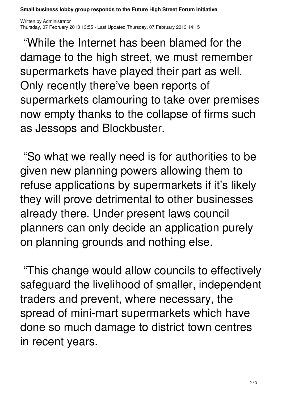**Small business lobby group responds to the Future High Street Forum initiative**

Written by Administrator Thursday, 07 February 2013 13:55 - Last Updated Thursday, 07 February 2013 14:15

 "While the Internet has been blamed for the damage to the high street, we must remember supermarkets have played their part as well. Only recently there've been reports of supermarkets clamouring to take over premises now empty thanks to the collapse of firms such as Jessops and Blockbuster.

 "So what we really need is for authorities to be given new planning powers allowing them to refuse applications by supermarkets if it's likely they will prove detrimental to other businesses already there. Under present laws council planners can only decide an application purely on planning grounds and nothing else.

 "This change would allow councils to effectively safeguard the livelihood of smaller, independent traders and prevent, where necessary, the spread of mini-mart supermarkets which have done so much damage to district town centres in recent years.